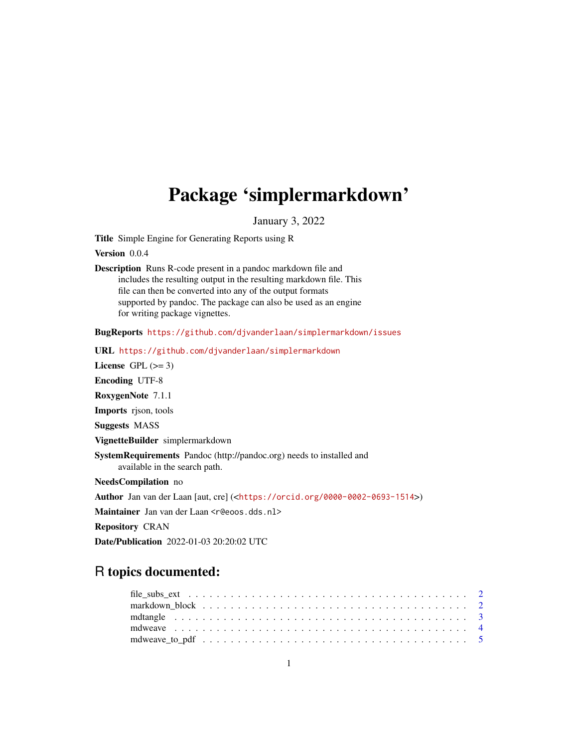## <span id="page-0-0"></span>Package 'simplermarkdown'

January 3, 2022

Title Simple Engine for Generating Reports using R

Version 0.0.4

Description Runs R-code present in a pandoc markdown file and includes the resulting output in the resulting markdown file. This file can then be converted into any of the output formats supported by pandoc. The package can also be used as an engine for writing package vignettes.

BugReports <https://github.com/djvanderlaan/simplermarkdown/issues>

URL <https://github.com/djvanderlaan/simplermarkdown>

License GPL  $(>= 3)$ Encoding UTF-8 RoxygenNote 7.1.1 Imports rjson, tools Suggests MASS VignetteBuilder simplermarkdown SystemRequirements Pandoc (http://pandoc.org) needs to installed and available in the search path. NeedsCompilation no Author Jan van der Laan [aut, cre] (<<https://orcid.org/0000-0002-0693-1514>>)

Maintainer Jan van der Laan <r@eoos.dds.nl>

Repository CRAN

Date/Publication 2022-01-03 20:20:02 UTC

### R topics documented: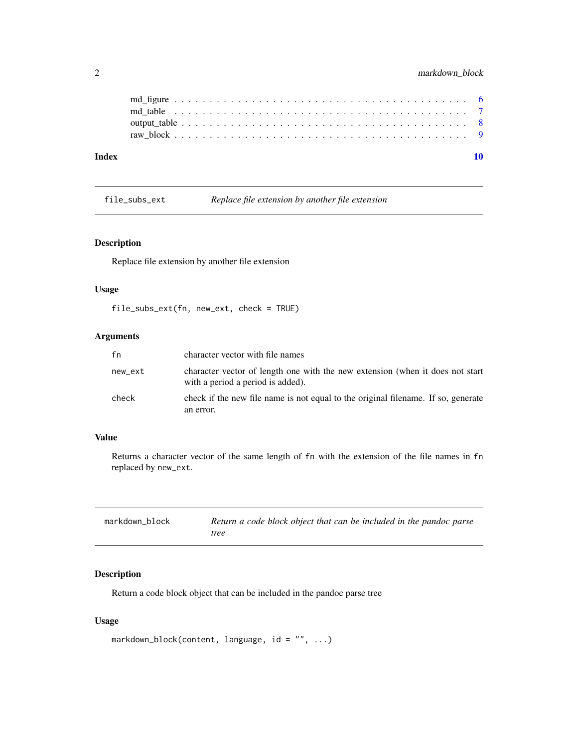<span id="page-1-0"></span>

| Index |  |  |  |  |  |  |  |  |  |  |  |  |  |  |  |  |  |  |  |
|-------|--|--|--|--|--|--|--|--|--|--|--|--|--|--|--|--|--|--|--|
|       |  |  |  |  |  |  |  |  |  |  |  |  |  |  |  |  |  |  |  |
|       |  |  |  |  |  |  |  |  |  |  |  |  |  |  |  |  |  |  |  |
|       |  |  |  |  |  |  |  |  |  |  |  |  |  |  |  |  |  |  |  |
|       |  |  |  |  |  |  |  |  |  |  |  |  |  |  |  |  |  |  |  |

file\_subs\_ext *Replace file extension by another file extension*

#### Description

Replace file extension by another file extension

#### Usage

```
file_subs_ext(fn, new_ext, check = TRUE)
```
#### Arguments

| fn      | character vector with file names                                                                                   |
|---------|--------------------------------------------------------------------------------------------------------------------|
| new_ext | character vector of length one with the new extension (when it does not start<br>with a period a period is added). |
| check   | check if the new file name is not equal to the original filename. If so, generate<br>an error.                     |

#### Value

Returns a character vector of the same length of fn with the extension of the file names in fn replaced by new\_ext.

<span id="page-1-1"></span>

| markdown_block | Return a code block object that can be included in the pandoc parse |
|----------------|---------------------------------------------------------------------|
|                | tree                                                                |

#### Description

Return a code block object that can be included in the pandoc parse tree

#### Usage

```
markdown_block(content, language, id = "", ...)
```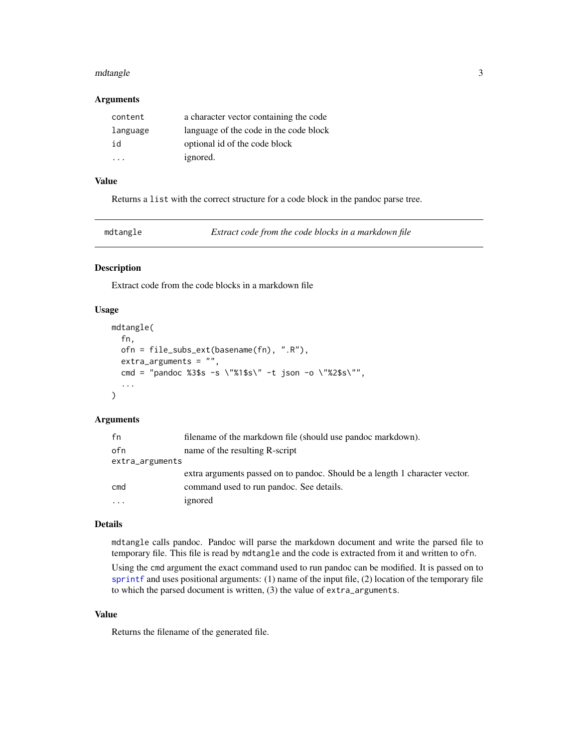#### <span id="page-2-0"></span>mdtangle 3

#### Arguments

| content  | a character vector containing the code |
|----------|----------------------------------------|
| language | language of the code in the code block |
| id       | optional id of the code block          |
|          | ignored.                               |

#### Value

Returns a list with the correct structure for a code block in the pandoc parse tree.

mdtangle *Extract code from the code blocks in a markdown file*

#### Description

Extract code from the code blocks in a markdown file

#### Usage

```
mdtangle(
  fn,
  ofn = file_subs_ext(basename(fn), ".R"),
  extra_arguments = "",
  cmd = "pandoc %3$s -s \"%1$s\" -t json -o \"%2$s\"",
  ...
)
```
#### **Arguments**

| fn              | filename of the markdown file (should use pandoc markdown).                 |
|-----------------|-----------------------------------------------------------------------------|
| ofn             | name of the resulting R-script                                              |
| extra_arguments |                                                                             |
|                 | extra arguments passed on to pandoc. Should be a length 1 character vector. |
| cmd             | command used to run pandoc. See details.                                    |
| $\cdots$        | ignored                                                                     |

#### Details

mdtangle calls pandoc. Pandoc will parse the markdown document and write the parsed file to temporary file. This file is read by mdtangle and the code is extracted from it and written to ofn.

Using the cmd argument the exact command used to run pandoc can be modified. It is passed on to [sprintf](#page-0-0) and uses positional arguments: (1) name of the input file, (2) location of the temporary file to which the parsed document is written, (3) the value of extra\_arguments.

#### Value

Returns the filename of the generated file.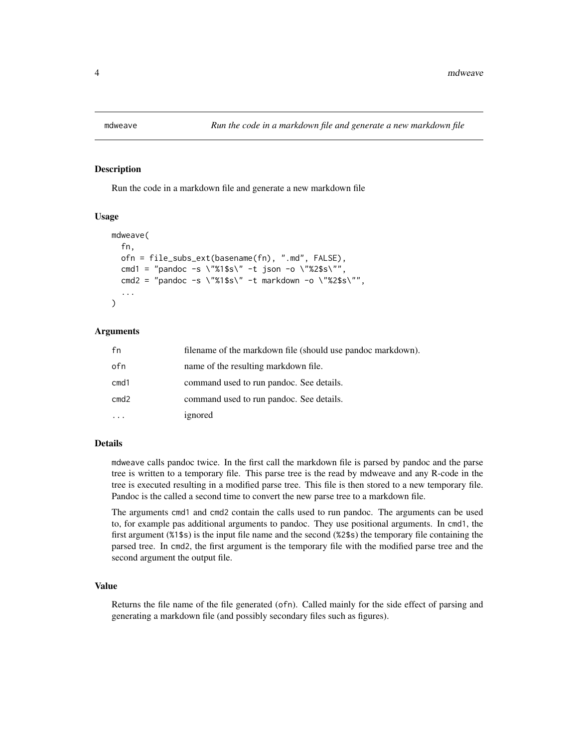<span id="page-3-1"></span><span id="page-3-0"></span>

#### Description

Run the code in a markdown file and generate a new markdown file

#### Usage

```
mdweave(
  fn,
  ofn = file_subs_ext(basename(fn), ".md", FALSE),
  cmd1 = "pandoc -s \"%1$s\" -t json -o \"%2$s\"",
  cmd2 = "pandoc -s \"%1$s\" -t markdown -o \"%2$s\"",
  ...
\mathcal{L}
```
#### Arguments

| fn   | filename of the markdown file (should use pandoc markdown). |
|------|-------------------------------------------------------------|
| ofn  | name of the resulting markdown file.                        |
| cmd1 | command used to run pandoc. See details.                    |
| cmd2 | command used to run pandoc. See details.                    |
|      | ignored                                                     |

#### Details

mdweave calls pandoc twice. In the first call the markdown file is parsed by pandoc and the parse tree is written to a temporary file. This parse tree is the read by mdweave and any R-code in the tree is executed resulting in a modified parse tree. This file is then stored to a new temporary file. Pandoc is the called a second time to convert the new parse tree to a markdown file.

The arguments cmd1 and cmd2 contain the calls used to run pandoc. The arguments can be used to, for example pas additional arguments to pandoc. They use positional arguments. In cmd1, the first argument (%1\$s) is the input file name and the second (%2\$s) the temporary file containing the parsed tree. In cmd2, the first argument is the temporary file with the modified parse tree and the second argument the output file.

#### Value

Returns the file name of the file generated (ofn). Called mainly for the side effect of parsing and generating a markdown file (and possibly secondary files such as figures).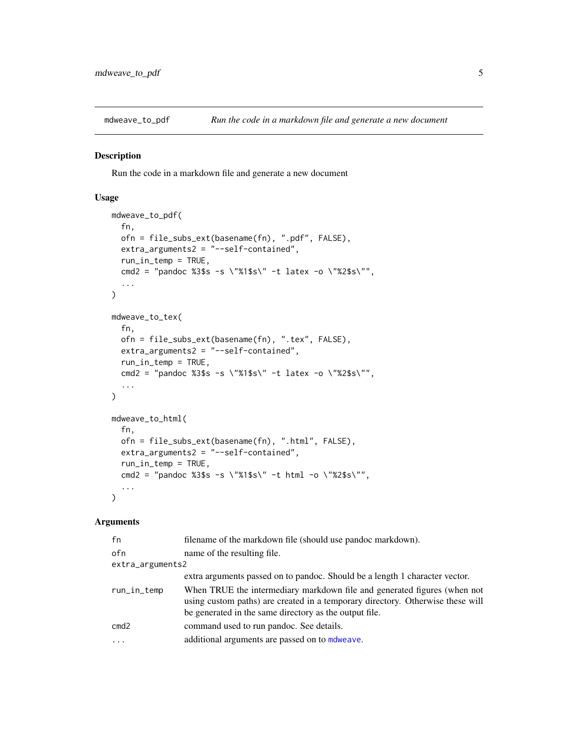<span id="page-4-0"></span>

#### Description

Run the code in a markdown file and generate a new document

#### Usage

```
mdweave_to_pdf(
  fn,
  ofn = file_subs_ext(basename(fn), ".pdf", FALSE),
  extra_arguments2 = "--self-contained",
  run_in_temp = TRUE,
  cmd2 = "pandoc %3$s -s \"%1$s\" -t latex -o \"%2$s\"",
  ...
)
mdweave_to_tex(
  fn,
 ofn = file_subs_ext(basename(fn), ".tex", FALSE),
 extra_arguments2 = "--self-contained",
  run_in_temp = TRUE,
  cmd2 = "pandoc %3$s -s \"%1$s\" -t latex -o \"%2$s\"",
  ...
)
mdweave_to_html(
  fn,
  ofn = file_subs_ext(basename(fn), ".html", FALSE),
  extra_arguments2 = "--self-contained",
  run_in_temp = TRUE,
  cmd2 = "pandoc %3$s -s \"%1$s\" -t html -o \"%2$s\"",
  ...
)
```
#### Arguments

| fn               | filename of the markdown file (should use pandoc markdown).                                                                                                                                                          |
|------------------|----------------------------------------------------------------------------------------------------------------------------------------------------------------------------------------------------------------------|
| ofn              | name of the resulting file.                                                                                                                                                                                          |
| extra_arguments2 |                                                                                                                                                                                                                      |
|                  | extra arguments passed on to pandoc. Should be a length 1 character vector.                                                                                                                                          |
| run_in_temp      | When TRUE the intermediary markdown file and generated figures (when not<br>using custom paths) are created in a temporary directory. Otherwise these will<br>be generated in the same directory as the output file. |
| cmd2             | command used to run pandoc. See details.                                                                                                                                                                             |
| $\cdot$          | additional arguments are passed on to mole ave.                                                                                                                                                                      |
|                  |                                                                                                                                                                                                                      |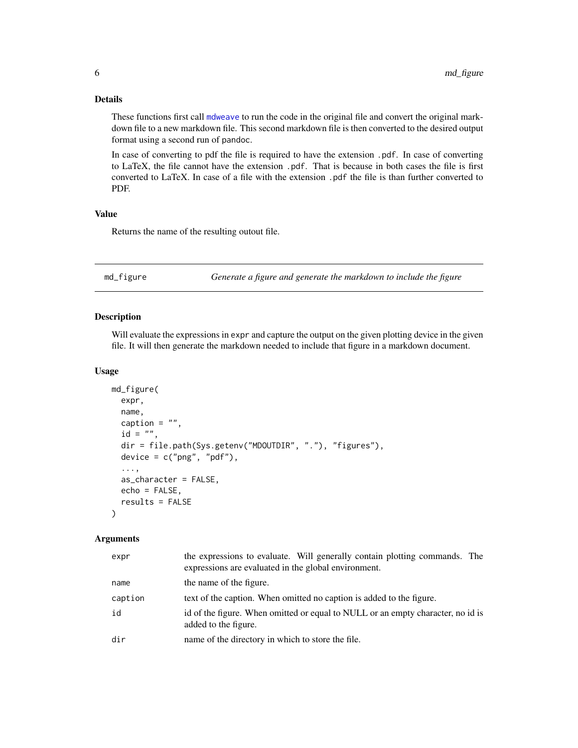#### <span id="page-5-0"></span>Details

These functions first call [mdweave](#page-3-1) to run the code in the original file and convert the original markdown file to a new markdown file. This second markdown file is then converted to the desired output format using a second run of pandoc.

In case of converting to pdf the file is required to have the extension .pdf. In case of converting to LaTeX, the file cannot have the extension .pdf. That is because in both cases the file is first converted to LaTeX. In case of a file with the extension .pdf the file is than further converted to PDF.

#### Value

Returns the name of the resulting outout file.

<span id="page-5-1"></span>md\_figure *Generate a figure and generate the markdown to include the figure*

#### Description

Will evaluate the expressions in expr and capture the output on the given plotting device in the given file. It will then generate the markdown needed to include that figure in a markdown document.

#### Usage

```
md_figure(
  expr,
  name,
  caption = ",
  id = "",dir = file.path(Sys.getenv("MDOUTDIR", "."), "figures"),
  device = c("png", "pdf"),...,
  as_character = FALSE,
  echo = FALSE,results = FALSE
)
```
#### Arguments

| expr    | the expressions to evaluate. Will generally contain plotting commands. The<br>expressions are evaluated in the global environment. |
|---------|------------------------------------------------------------------------------------------------------------------------------------|
| name    | the name of the figure.                                                                                                            |
| caption | text of the caption. When omitted no caption is added to the figure.                                                               |
| id      | id of the figure. When omitted or equal to NULL or an empty character, no id is<br>added to the figure.                            |
| dir     | name of the directory in which to store the file.                                                                                  |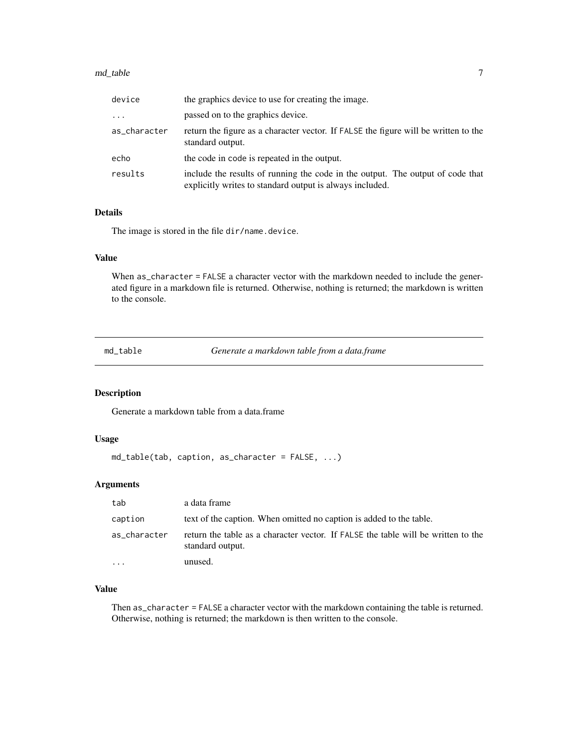#### <span id="page-6-0"></span>md\_table 7 7

| device       | the graphics device to use for creating the image.                                                                                         |
|--------------|--------------------------------------------------------------------------------------------------------------------------------------------|
| $\cdots$     | passed on to the graphics device.                                                                                                          |
| as_character | return the figure as a character vector. If FALSE the figure will be written to the<br>standard output.                                    |
| echo         | the code in code is repeated in the output.                                                                                                |
| results      | include the results of running the code in the output. The output of code that<br>explicitly writes to standard output is always included. |

#### Details

The image is stored in the file dir/name.device.

#### Value

When as\_character = FALSE a character vector with the markdown needed to include the generated figure in a markdown file is returned. Otherwise, nothing is returned; the markdown is written to the console.

<span id="page-6-1"></span>md\_table *Generate a markdown table from a data.frame*

#### **Description**

Generate a markdown table from a data.frame

#### Usage

```
md_table(tab, caption, as_character = FALSE, ...)
```
#### Arguments

| tab          | a data frame                                                                                          |
|--------------|-------------------------------------------------------------------------------------------------------|
| caption      | text of the caption. When omitted no caption is added to the table.                                   |
| as_character | return the table as a character vector. If FALSE the table will be written to the<br>standard output. |
|              | unused.                                                                                               |

#### Value

Then as\_character = FALSE a character vector with the markdown containing the table is returned. Otherwise, nothing is returned; the markdown is then written to the console.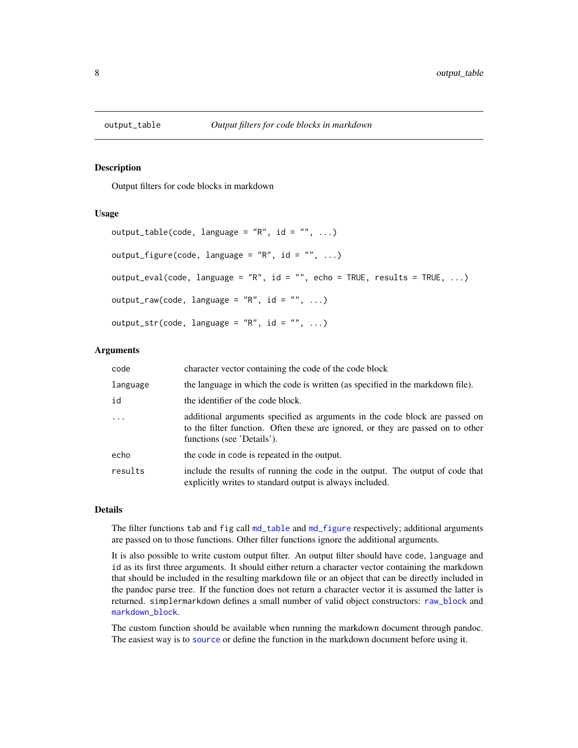<span id="page-7-0"></span>

#### Description

Output filters for code blocks in markdown

#### Usage

```
output_table(code, language = "R", id = "", ...)
output_figure(code, language = "R", id = "", ...)
output_eval(code, language = "R", id = "", echo = TRUE, results = TRUE, \dots)
output_{raw(code, language = "R", id = "", ...)}output\_str(code, language = "R", id = "", ...)
```
#### Arguments

| code       | character vector containing the code of the code block                                                                                                                                       |
|------------|----------------------------------------------------------------------------------------------------------------------------------------------------------------------------------------------|
| language   | the language in which the code is written (as specified in the markdown file).                                                                                                               |
| id         | the identifier of the code block.                                                                                                                                                            |
| $\ddots$ . | additional arguments specified as arguments in the code block are passed on<br>to the filter function. Often these are ignored, or they are passed on to other<br>functions (see 'Details'). |
| echo       | the code in code is repeated in the output.                                                                                                                                                  |
| results    | include the results of running the code in the output. The output of code that<br>explicitly writes to standard output is always included.                                                   |

#### Details

The filter functions tab and fig call [md\\_table](#page-6-1) and [md\\_figure](#page-5-1) respectively; additional arguments are passed on to those functions. Other filter functions ignore the additional arguments.

It is also possible to write custom output filter. An output filter should have code, language and id as its first three arguments. It should either return a character vector containing the markdown that should be included in the resulting markdown file or an object that can be directly included in the pandoc parse tree. If the function does not return a character vector it is assumed the latter is returned. simplermarkdown defines a small number of valid object constructors: [raw\\_block](#page-8-1) and [markdown\\_block](#page-1-1).

The custom function should be available when running the markdown document through pandoc. The easiest way is to [source](#page-0-0) or define the function in the markdown document before using it.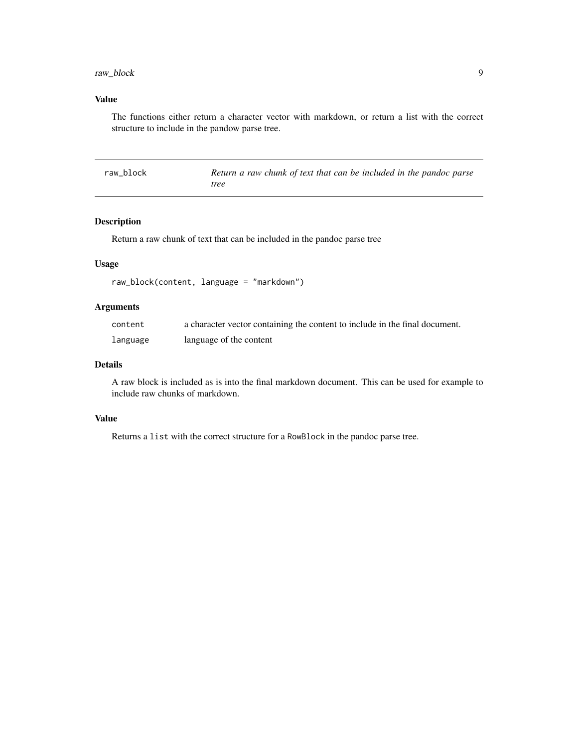#### <span id="page-8-0"></span>raw\_block 9

#### Value

The functions either return a character vector with markdown, or return a list with the correct structure to include in the pandow parse tree.

<span id="page-8-1"></span>

| raw block | Return a raw chunk of text that can be included in the pandoc parse |
|-----------|---------------------------------------------------------------------|
|           | tree                                                                |

#### Description

Return a raw chunk of text that can be included in the pandoc parse tree

#### Usage

```
raw_block(content, language = "markdown")
```
#### Arguments

| content  | a character vector containing the content to include in the final document. |
|----------|-----------------------------------------------------------------------------|
| language | language of the content                                                     |

#### Details

A raw block is included as is into the final markdown document. This can be used for example to include raw chunks of markdown.

#### Value

Returns a list with the correct structure for a RowBlock in the pandoc parse tree.